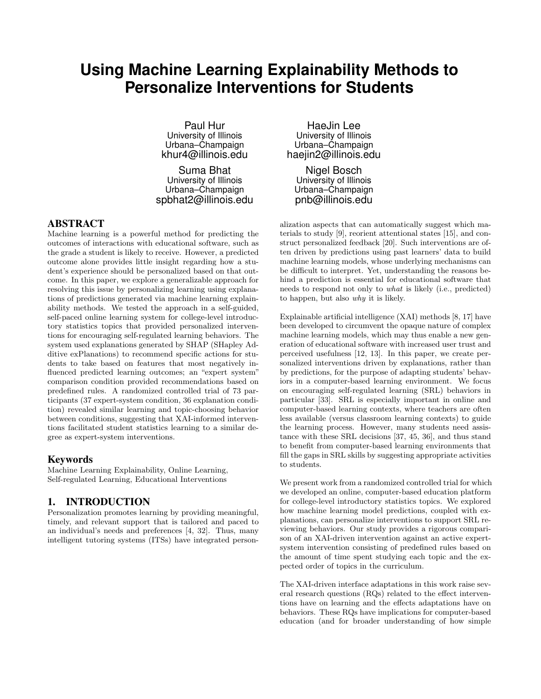# **Using Machine Learning Explainability Methods to Personalize Interventions for Students**

Paul Hur University of Illinois Urbana–Champaign khur4@illinois.edu

Suma Bhat University of Illinois Urbana–Champaign spbhat2@illinois.edu

#### ABSTRACT

Machine learning is a powerful method for predicting the outcomes of interactions with educational software, such as the grade a student is likely to receive. However, a predicted outcome alone provides little insight regarding how a student's experience should be personalized based on that outcome. In this paper, we explore a generalizable approach for resolving this issue by personalizing learning using explanations of predictions generated via machine learning explainability methods. We tested the approach in a self-guided, self-paced online learning system for college-level introductory statistics topics that provided personalized interventions for encouraging self-regulated learning behaviors. The system used explanations generated by SHAP (SHapley Additive exPlanations) to recommend specific actions for students to take based on features that most negatively influenced predicted learning outcomes; an "expert system" comparison condition provided recommendations based on predefined rules. A randomized controlled trial of 73 participants (37 expert-system condition, 36 explanation condition) revealed similar learning and topic-choosing behavior between conditions, suggesting that XAI-informed interventions facilitated student statistics learning to a similar degree as expert-system interventions.

#### Keywords

Machine Learning Explainability, Online Learning, Self-regulated Learning, Educational Interventions

#### 1. INTRODUCTION

Personalization promotes learning by providing meaningful, timely, and relevant support that is tailored and paced to an individual's needs and preferences [4, 32]. Thus, many intelligent tutoring systems (ITSs) have integrated person-

HaeJin Lee University of Illinois Urbana–Champaign haejin2@illinois.edu

Nigel Bosch University of Illinois Urbana–Champaign pnb@illinois.edu

alization aspects that can automatically suggest which materials to study [9], reorient attentional states [15], and construct personalized feedback [20]. Such interventions are often driven by predictions using past learners' data to build machine learning models, whose underlying mechanisms can be difficult to interpret. Yet, understanding the reasons behind a prediction is essential for educational software that needs to respond not only to what is likely (i.e., predicted) to happen, but also why it is likely.

Explainable artificial intelligence (XAI) methods [8, 17] have been developed to circumvent the opaque nature of complex machine learning models, which may thus enable a new generation of educational software with increased user trust and perceived usefulness [12, 13]. In this paper, we create personalized interventions driven by explanations, rather than by predictions, for the purpose of adapting students' behaviors in a computer-based learning environment. We focus on encouraging self-regulated learning (SRL) behaviors in particular [33]. SRL is especially important in online and computer-based learning contexts, where teachers are often less available (versus classroom learning contexts) to guide the learning process. However, many students need assistance with these SRL decisions [37, 45, 36], and thus stand to benefit from computer-based learning environments that fill the gaps in SRL skills by suggesting appropriate activities to students.

We present work from a randomized controlled trial for which we developed an online, computer-based education platform for college-level introductory statistics topics. We explored how machine learning model predictions, coupled with explanations, can personalize interventions to support SRL reviewing behaviors. Our study provides a rigorous comparison of an XAI-driven intervention against an active expertsystem intervention consisting of predefined rules based on the amount of time spent studying each topic and the expected order of topics in the curriculum.

The XAI-driven interface adaptations in this work raise several research questions (RQs) related to the effect interventions have on learning and the effects adaptations have on behaviors. These RQs have implications for computer-based education (and for broader understanding of how simple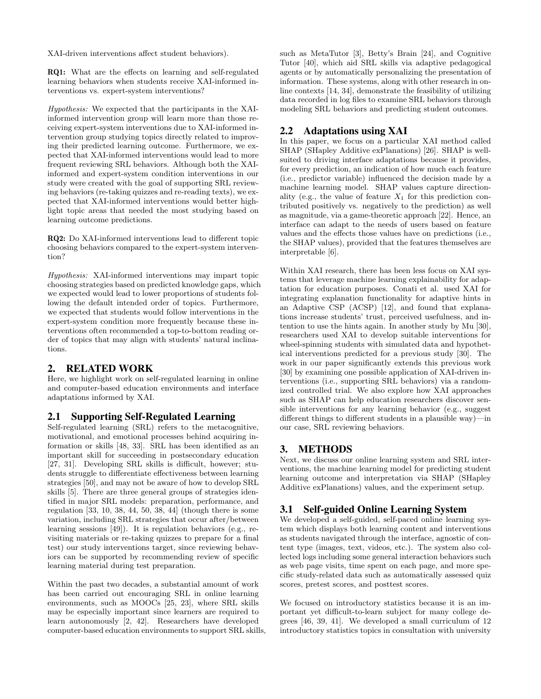XAI-driven interventions affect student behaviors).

RQ1: What are the effects on learning and self-regulated learning behaviors when students receive XAI-informed interventions vs. expert-system interventions?

Hypothesis: We expected that the participants in the XAIinformed intervention group will learn more than those receiving expert-system interventions due to XAI-informed intervention group studying topics directly related to improving their predicted learning outcome. Furthermore, we expected that XAI-informed interventions would lead to more frequent reviewing SRL behaviors. Although both the XAIinformed and expert-system condition interventions in our study were created with the goal of supporting SRL reviewing behaviors (re-taking quizzes and re-reading texts), we expected that XAI-informed interventions would better highlight topic areas that needed the most studying based on learning outcome predictions.

RQ2: Do XAI-informed interventions lead to different topic choosing behaviors compared to the expert-system intervention?

Hypothesis: XAI-informed interventions may impart topic choosing strategies based on predicted knowledge gaps, which we expected would lead to lower proportions of students following the default intended order of topics. Furthermore, we expected that students would follow interventions in the expert-system condition more frequently because these interventions often recommended a top-to-bottom reading order of topics that may align with students' natural inclinations.

### 2. RELATED WORK

Here, we highlight work on self-regulated learning in online and computer-based education environments and interface adaptations informed by XAI.

#### 2.1 Supporting Self-Regulated Learning

Self-regulated learning (SRL) refers to the metacognitive, motivational, and emotional processes behind acquiring information or skills [48, 33]. SRL has been identified as an important skill for succeeding in postsecondary education [27, 31]. Developing SRL skills is difficult, however; students struggle to differentiate effectiveness between learning strategies [50], and may not be aware of how to develop SRL skills [5]. There are three general groups of strategies identified in major SRL models: preparation, performance, and regulation [33, 10, 38, 44, 50, 38, 44] (though there is some variation, including SRL strategies that occur after/between learning sessions [49]). It is regulation behaviors (e.g., revisiting materials or re-taking quizzes to prepare for a final test) our study interventions target, since reviewing behaviors can be supported by recommending review of specific learning material during test preparation.

Within the past two decades, a substantial amount of work has been carried out encouraging SRL in online learning environments, such as MOOCs [25, 23], where SRL skills may be especially important since learners are required to learn autonomously [2, 42]. Researchers have developed computer-based education environments to support SRL skills, such as MetaTutor [3], Betty's Brain [24], and Cognitive Tutor [40], which aid SRL skills via adaptive pedagogical agents or by automatically personalizing the presentation of information. These systems, along with other research in online contexts [14, 34], demonstrate the feasibility of utilizing data recorded in log files to examine SRL behaviors through modeling SRL behaviors and predicting student outcomes.

## 2.2 Adaptations using XAI

In this paper, we focus on a particular XAI method called SHAP (SHapley Additive exPlanations) [26]. SHAP is wellsuited to driving interface adaptations because it provides, for every prediction, an indication of how much each feature (i.e., predictor variable) influenced the decision made by a machine learning model. SHAP values capture directionality (e.g., the value of feature  $X_1$  for this prediction contributed positively vs. negatively to the prediction) as well as magnitude, via a game-theoretic approach [22]. Hence, an interface can adapt to the needs of users based on feature values and the effects those values have on predictions (i.e., the SHAP values), provided that the features themselves are interpretable [6].

Within XAI research, there has been less focus on XAI systems that leverage machine learning explainability for adaptation for education purposes. Conati et al. used XAI for integrating explanation functionality for adaptive hints in an Adaptive CSP (ACSP) [12], and found that explanations increase students' trust, perceived usefulness, and intention to use the hints again. In another study by Mu [30], researchers used XAI to develop suitable interventions for wheel-spinning students with simulated data and hypothetical interventions predicted for a previous study [30]. The work in our paper significantly extends this previous work [30] by examining one possible application of XAI-driven interventions (i.e., supporting SRL behaviors) via a randomized controlled trial. We also explore how XAI approaches such as SHAP can help education researchers discover sensible interventions for any learning behavior (e.g., suggest different things to different students in a plausible way)—in our case, SRL reviewing behaviors.

#### 3. METHODS

Next, we discuss our online learning system and SRL interventions, the machine learning model for predicting student learning outcome and interpretation via SHAP (SHapley Additive exPlanations) values, and the experiment setup.

#### 3.1 Self-guided Online Learning System

We developed a self-guided, self-paced online learning system which displays both learning content and interventions as students navigated through the interface, agnostic of content type (images, text, videos, etc.). The system also collected logs including some general interaction behaviors such as web page visits, time spent on each page, and more specific study-related data such as automatically assessed quiz scores, pretest scores, and posttest scores.

We focused on introductory statistics because it is an important yet difficult-to-learn subject for many college degrees [46, 39, 41]. We developed a small curriculum of 12 introductory statistics topics in consultation with university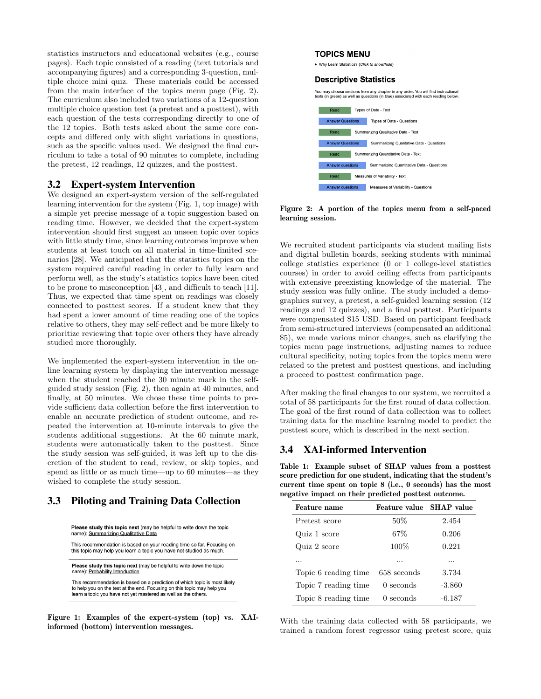statistics instructors and educational websites (e.g., course pages). Each topic consisted of a reading (text tutorials and accompanying figures) and a corresponding 3-question, multiple choice mini quiz. These materials could be accessed from the main interface of the topics menu page (Fig. 2). The curriculum also included two variations of a 12-question multiple choice question test (a pretest and a posttest), with each question of the tests corresponding directly to one of the 12 topics. Both tests asked about the same core concepts and differed only with slight variations in questions, such as the specific values used. We designed the final curriculum to take a total of 90 minutes to complete, including the pretest, 12 readings, 12 quizzes, and the posttest.

#### 3.2 Expert-system Intervention

We designed an expert-system version of the self-regulated learning intervention for the system (Fig. 1, top image) with a simple yet precise message of a topic suggestion based on reading time. However, we decided that the expert-system intervention should first suggest an unseen topic over topics with little study time, since learning outcomes improve when students at least touch on all material in time-limited scenarios [28]. We anticipated that the statistics topics on the system required careful reading in order to fully learn and perform well, as the study's statistics topics have been cited to be prone to misconception [43], and difficult to teach [11]. Thus, we expected that time spent on readings was closely connected to posttest scores. If a student knew that they had spent a lower amount of time reading one of the topics relative to others, they may self-reflect and be more likely to prioritize reviewing that topic over others they have already studied more thoroughly.

We implemented the expert-system intervention in the online learning system by displaying the intervention message when the student reached the 30 minute mark in the selfguided study session (Fig. 2), then again at 40 minutes, and finally, at 50 minutes. We chose these time points to provide sufficient data collection before the first intervention to enable an accurate prediction of student outcome, and repeated the intervention at 10-minute intervals to give the students additional suggestions. At the 60 minute mark, students were automatically taken to the posttest. Since the study session was self-guided, it was left up to the discretion of the student to read, review, or skip topics, and spend as little or as much time—up to 60 minutes—as they wished to complete the study session.

#### 3.3 Piloting and Training Data Collection

| <b>Please study this topic next</b> (may be helpful to write down the topic<br>name): Summarizing Qualitative Data                           |
|----------------------------------------------------------------------------------------------------------------------------------------------|
| This recommendation is based on your reading time so far. Focusing on<br>this topic may help you learn a topic you have not studied as much. |

Please study this topic next (may be helpful to write down the topic name): Probability Introduction

This recommendation is based on a prediction of which topic is most likely to help you on the test at the end. Focusing on this topic may help you learn a topic you have not yet mastered as well as the others.

Figure 1: Examples of the expert-system (top) vs. XAIinformed (bottom) intervention messages.

#### **TOPICS MENU**

▶ Why Learn Statistics? (Click to show/hide)

#### **Descriptive Statistics**

You may choose sections from any chapter in any order. You will find instructional texts (in green) as well as questions (in blue) associated with each reading below.



Figure 2: A portion of the topics menu from a self-paced learning session.

We recruited student participants via student mailing lists and digital bulletin boards, seeking students with minimal college statistics experience (0 or 1 college-level statistics courses) in order to avoid ceiling effects from participants with extensive preexisting knowledge of the material. The study session was fully online. The study included a demographics survey, a pretest, a self-guided learning session (12 readings and 12 quizzes), and a final posttest. Participants were compensated \$15 USD. Based on participant feedback from semi-structured interviews (compensated an additional \$5), we made various minor changes, such as clarifying the topics menu page instructions, adjusting names to reduce cultural specificity, noting topics from the topics menu were related to the pretest and posttest questions, and including a proceed to posttest confirmation page.

After making the final changes to our system, we recruited a total of 58 participants for the first round of data collection. The goal of the first round of data collection was to collect training data for the machine learning model to predict the posttest score, which is described in the next section.

#### 3.4 XAI-informed Intervention

Table 1: Example subset of SHAP values from a posttest score prediction for one student, indicating that the student's current time spent on topic 8 (i.e., 0 seconds) has the most negative impact on their predicted posttest outcome.

| Feature name         | Feature value SHAP value |          |
|----------------------|--------------------------|----------|
| Pretest score        | $50\%$                   | 2.454    |
| Quiz 1 score         | 67%                      | 0.206    |
| Quiz 2 score         | 100%                     | 0.221    |
| .                    |                          | .        |
| Topic 6 reading time | 658 seconds              | 3.734    |
| Topic 7 reading time | $0$ seconds              | $-3.860$ |
| Topic 8 reading time | $0$ seconds              | $-6.187$ |

With the training data collected with 58 participants, we trained a random forest regressor using pretest score, quiz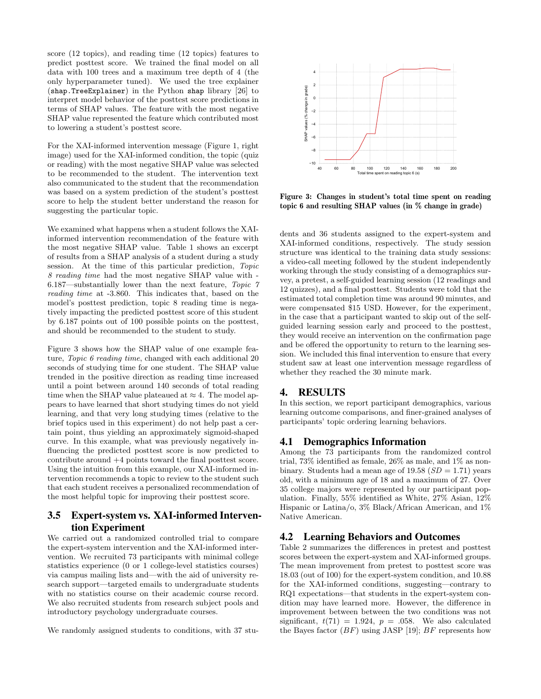score (12 topics), and reading time (12 topics) features to predict posttest score. We trained the final model on all data with 100 trees and a maximum tree depth of 4 (the only hyperparameter tuned). We used the tree explainer (shap.TreeExplainer) in the Python shap library [26] to interpret model behavior of the posttest score predictions in terms of SHAP values. The feature with the most negative SHAP value represented the feature which contributed most to lowering a student's posttest score.

For the XAI-informed intervention message (Figure 1, right image) used for the XAI-informed condition, the topic (quiz or reading) with the most negative SHAP value was selected to be recommended to the student. The intervention text also communicated to the student that the recommendation was based on a system prediction of the student's posttest score to help the student better understand the reason for suggesting the particular topic.

We examined what happens when a student follows the XAIinformed intervention recommendation of the feature with the most negative SHAP value. Table 1 shows an excerpt of results from a SHAP analysis of a student during a study session. At the time of this particular prediction, Topic 8 reading time had the most negative SHAP value with - 6.187—substantially lower than the next feature, Topic 7 reading time at -3.860. This indicates that, based on the model's posttest prediction, topic 8 reading time is negatively impacting the predicted posttest score of this student by 6.187 points out of 100 possible points on the posttest, and should be recommended to the student to study.

Figure 3 shows how the SHAP value of one example feature, Topic 6 reading time, changed with each additional 20 seconds of studying time for one student. The SHAP value trended in the positive direction as reading time increased until a point between around 140 seconds of total reading time when the SHAP value plateaued at  $\approx 4$ . The model appears to have learned that short studying times do not yield learning, and that very long studying times (relative to the brief topics used in this experiment) do not help past a certain point, thus yielding an approximately sigmoid-shaped curve. In this example, what was previously negatively influencing the predicted posttest score is now predicted to contribute around +4 points toward the final posttest score. Using the intuition from this example, our XAI-informed intervention recommends a topic to review to the student such that each student receives a personalized recommendation of the most helpful topic for improving their posttest score.

## 3.5 Expert-system vs. XAI-informed Intervention Experiment

We carried out a randomized controlled trial to compare the expert-system intervention and the XAI-informed intervention. We recruited 73 participants with minimal college statistics experience (0 or 1 college-level statistics courses) via campus mailing lists and—with the aid of university research support—targeted emails to undergraduate students with no statistics course on their academic course record. We also recruited students from research subject pools and introductory psychology undergraduate courses.

We randomly assigned students to conditions, with 37 stu-



Figure 3: Changes in student's total time spent on reading topic 6 and resulting SHAP values (in % change in grade)

dents and 36 students assigned to the expert-system and XAI-informed conditions, respectively. The study session structure was identical to the training data study sessions: a video-call meeting followed by the student independently working through the study consisting of a demographics survey, a pretest, a self-guided learning session (12 readings and 12 quizzes), and a final posttest. Students were told that the estimated total completion time was around 90 minutes, and were compensated \$15 USD. However, for the experiment, in the case that a participant wanted to skip out of the selfguided learning session early and proceed to the posttest, they would receive an intervention on the confirmation page and be offered the opportunity to return to the learning session. We included this final intervention to ensure that every student saw at least one intervention message regardless of whether they reached the 30 minute mark.

#### 4. RESULTS

In this section, we report participant demographics, various learning outcome comparisons, and finer-grained analyses of participants' topic ordering learning behaviors.

#### 4.1 Demographics Information

Among the 73 participants from the randomized control trial, 73% identified as female, 26% as male, and 1% as nonbinary. Students had a mean age of 19.58  $(SD = 1.71)$  years old, with a minimum age of 18 and a maximum of 27. Over 35 college majors were represented by our participant population. Finally, 55% identified as White, 27% Asian, 12% Hispanic or Latina/o, 3% Black/African American, and 1% Native American.

#### 4.2 Learning Behaviors and Outcomes

Table 2 summarizes the differences in pretest and posttest scores between the expert-system and XAI-informed groups. The mean improvement from pretest to posttest score was 18.03 (out of 100) for the expert-system condition, and 10.88 for the XAI-informed conditions, suggesting—contrary to RQ1 expectations—that students in the expert-system condition may have learned more. However, the difference in improvement between between the two conditions was not significant,  $t(71) = 1.924$ ,  $p = .058$ . We also calculated the Bayes factor  $(BF)$  using JASP [19]; BF represents how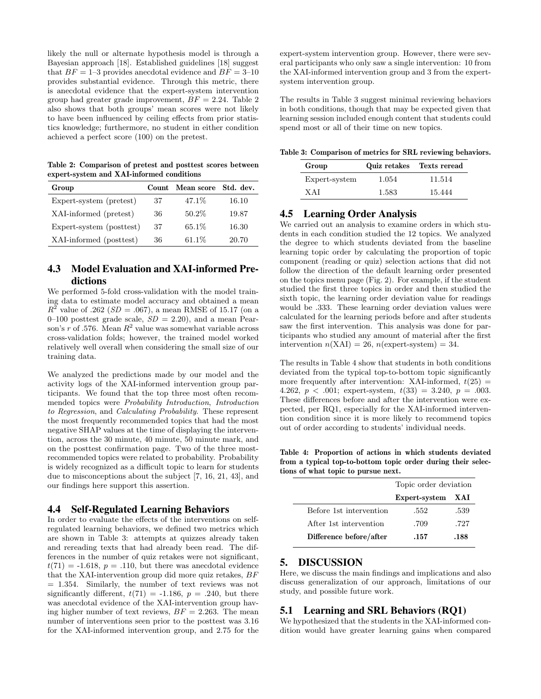likely the null or alternate hypothesis model is through a Bayesian approach [18]. Established guidelines [18] suggest that  $BF = 1-3$  provides anecdotal evidence and  $BF = 3-10$ provides substantial evidence. Through this metric, there is anecdotal evidence that the expert-system intervention group had greater grade improvement,  $BF = 2.24$ . Table 2 also shows that both groups' mean scores were not likely to have been influenced by ceiling effects from prior statistics knowledge; furthermore, no student in either condition achieved a perfect score (100) on the pretest.

Table 2: Comparison of pretest and posttest scores between expert-system and XAI-informed conditions

| Group                    |    | Count Mean score | Std. dev. |
|--------------------------|----|------------------|-----------|
| Expert-system (pretest)  | 37 | 47.1\%           | 16.10     |
| XAI-informed (pretest)   | 36 | 50.2%            | 19.87     |
| Expert-system (posttest) | 37 | 65.1\%           | 16.30     |
| XAI-informed (posttest)  | 36 | $61.1\%$         | 20.70     |

# 4.3 Model Evaluation and XAI-informed Predictions

We performed 5-fold cross-validation with the model training data to estimate model accuracy and obtained a mean  $R^2$  value of .262 ( $SD = .067$ ), a mean RMSE of 15.17 (on a 0–100 posttest grade scale,  $SD = 2.20$ , and a mean Pearson's  $r$  of .576. Mean  $R^2$  value was somewhat variable across cross-validation folds; however, the trained model worked relatively well overall when considering the small size of our training data.

We analyzed the predictions made by our model and the activity logs of the XAI-informed intervention group participants. We found that the top three most often recommended topics were Probability Introduction, Introduction to Regression, and Calculating Probability. These represent the most frequently recommended topics that had the most negative SHAP values at the time of displaying the intervention, across the 30 minute, 40 minute, 50 minute mark, and on the posttest confirmation page. Two of the three mostrecommended topics were related to probability. Probability is widely recognized as a difficult topic to learn for students due to misconceptions about the subject [7, 16, 21, 43], and our findings here support this assertion.

#### 4.4 Self-Regulated Learning Behaviors

In order to evaluate the effects of the interventions on selfregulated learning behaviors, we defined two metrics which are shown in Table 3: attempts at quizzes already taken and rereading texts that had already been read. The differences in the number of quiz retakes were not significant,  $t(71) = -1.618$ ,  $p = .110$ , but there was anecdotal evidence that the XAI-intervention group did more quiz retakes, BF  $= 1.354$ . Similarly, the number of text reviews was not significantly different,  $t(71) = -1.186$ ,  $p = .240$ , but there was anecdotal evidence of the XAI-intervention group having higher number of text reviews,  $BF = 2.263$ . The mean number of interventions seen prior to the posttest was 3.16 for the XAI-informed intervention group, and 2.75 for the

expert-system intervention group. However, there were several participants who only saw a single intervention: 10 from the XAI-informed intervention group and 3 from the expertsystem intervention group.

The results in Table 3 suggest minimal reviewing behaviors in both conditions, though that may be expected given that learning session included enough content that students could spend most or all of their time on new topics.

Table 3: Comparison of metrics for SRL reviewing behaviors.

| Group         | Quiz retakes | Texts reread |
|---------------|--------------|--------------|
| Expert-system | 1.054        | 11.514       |
| X A I         | 1.583        | 15.444       |

## 4.5 Learning Order Analysis

We carried out an analysis to examine orders in which students in each condition studied the 12 topics. We analyzed the degree to which students deviated from the baseline learning topic order by calculating the proportion of topic component (reading or quiz) selection actions that did not follow the direction of the default learning order presented on the topics menu page (Fig. 2). For example, if the student studied the first three topics in order and then studied the sixth topic, the learning order deviation value for readings would be .333. These learning order deviation values were calculated for the learning periods before and after students saw the first intervention. This analysis was done for participants who studied any amount of material after the first intervention  $n(XAI) = 26$ ,  $n(expert-system) = 34$ .

The results in Table 4 show that students in both conditions deviated from the typical top-to-bottom topic significantly more frequently after intervention: XAI-informed,  $t(25)$  = 4.262,  $p < .001$ ; expert-system,  $t(33) = 3.240$ ,  $p = .003$ . These differences before and after the intervention were expected, per RQ1, especially for the XAI-informed intervention condition since it is more likely to recommend topics out of order according to students' individual needs.

Table 4: Proportion of actions in which students deviated from a typical top-to-bottom topic order during their selections of what topic to pursue next.

|                         | Topic order deviation |            |
|-------------------------|-----------------------|------------|
|                         | Expert-system         | <b>XAI</b> |
| Before 1st intervention | .552                  | .539       |
| After 1st intervention  | .709                  | .727       |
| Difference before/after | .157                  | .188       |

#### 5. DISCUSSION

Here, we discuss the main findings and implications and also discuss generalization of our approach, limitations of our study, and possible future work.

#### 5.1 Learning and SRL Behaviors (RQ1)

We hypothesized that the students in the XAI-informed condition would have greater learning gains when compared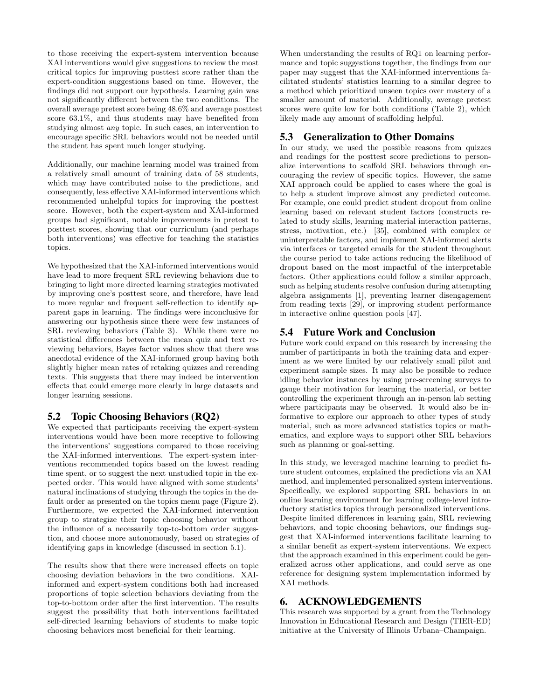to those receiving the expert-system intervention because XAI interventions would give suggestions to review the most critical topics for improving posttest score rather than the expert-condition suggestions based on time. However, the findings did not support our hypothesis. Learning gain was not significantly different between the two conditions. The overall average pretest score being 48.6% and average posttest score 63.1%, and thus students may have benefited from studying almost any topic. In such cases, an intervention to encourage specific SRL behaviors would not be needed until the student has spent much longer studying.

Additionally, our machine learning model was trained from a relatively small amount of training data of 58 students, which may have contributed noise to the predictions, and consequently, less effective XAI-informed interventions which recommended unhelpful topics for improving the posttest score. However, both the expert-system and XAI-informed groups had significant, notable improvements in pretest to posttest scores, showing that our curriculum (and perhaps both interventions) was effective for teaching the statistics topics.

We hypothesized that the XAI-informed interventions would have lead to more frequent SRL reviewing behaviors due to bringing to light more directed learning strategies motivated by improving one's posttest score, and therefore, have lead to more regular and frequent self-reflection to identify apparent gaps in learning. The findings were inconclusive for answering our hypothesis since there were few instances of SRL reviewing behaviors (Table 3). While there were no statistical differences between the mean quiz and text reviewing behaviors, Bayes factor values show that there was anecdotal evidence of the XAI-informed group having both slightly higher mean rates of retaking quizzes and rereading texts. This suggests that there may indeed be intervention effects that could emerge more clearly in large datasets and longer learning sessions.

#### 5.2 Topic Choosing Behaviors (RQ2)

We expected that participants receiving the expert-system interventions would have been more receptive to following the interventions' suggestions compared to those receiving the XAI-informed interventions. The expert-system interventions recommended topics based on the lowest reading time spent, or to suggest the next unstudied topic in the expected order. This would have aligned with some students' natural inclinations of studying through the topics in the default order as presented on the topics menu page (Figure 2). Furthermore, we expected the XAI-informed intervention group to strategize their topic choosing behavior without the influence of a necessarily top-to-bottom order suggestion, and choose more autonomously, based on strategies of identifying gaps in knowledge (discussed in section 5.1).

The results show that there were increased effects on topic choosing deviation behaviors in the two conditions. XAIinformed and expert-system conditions both had increased proportions of topic selection behaviors deviating from the top-to-bottom order after the first intervention. The results suggest the possibility that both interventions facilitated self-directed learning behaviors of students to make topic choosing behaviors most beneficial for their learning.

When understanding the results of RQ1 on learning performance and topic suggestions together, the findings from our paper may suggest that the XAI-informed interventions facilitated students' statistics learning to a similar degree to a method which prioritized unseen topics over mastery of a smaller amount of material. Additionally, average pretest scores were quite low for both conditions (Table 2), which likely made any amount of scaffolding helpful.

# 5.3 Generalization to Other Domains

In our study, we used the possible reasons from quizzes and readings for the posttest score predictions to personalize interventions to scaffold SRL behaviors through encouraging the review of specific topics. However, the same XAI approach could be applied to cases where the goal is to help a student improve almost any predicted outcome. For example, one could predict student dropout from online learning based on relevant student factors (constructs related to study skills, learning material interaction patterns, stress, motivation, etc.) [35], combined with complex or uninterpretable factors, and implement XAI-informed alerts via interfaces or targeted emails for the student throughout the course period to take actions reducing the likelihood of dropout based on the most impactful of the interpretable factors. Other applications could follow a similar approach, such as helping students resolve confusion during attempting algebra assignments [1], preventing learner disengagement from reading texts [29], or improving student performance in interactive online question pools [47].

# 5.4 Future Work and Conclusion

Future work could expand on this research by increasing the number of participants in both the training data and experiment as we were limited by our relatively small pilot and experiment sample sizes. It may also be possible to reduce idling behavior instances by using pre-screening surveys to gauge their motivation for learning the material, or better controlling the experiment through an in-person lab setting where participants may be observed. It would also be informative to explore our approach to other types of study material, such as more advanced statistics topics or mathematics, and explore ways to support other SRL behaviors such as planning or goal-setting.

In this study, we leveraged machine learning to predict future student outcomes, explained the predictions via an XAI method, and implemented personalized system interventions. Specifically, we explored supporting SRL behaviors in an online learning environment for learning college-level introductory statistics topics through personalized interventions. Despite limited differences in learning gain, SRL reviewing behaviors, and topic choosing behaviors, our findings suggest that XAI-informed interventions facilitate learning to a similar benefit as expert-system interventions. We expect that the approach examined in this experiment could be generalized across other applications, and could serve as one reference for designing system implementation informed by XAI methods.

# 6. ACKNOWLEDGEMENTS

This research was supported by a grant from the Technology Innovation in Educational Research and Design (TIER-ED) initiative at the University of Illinois Urbana–Champaign.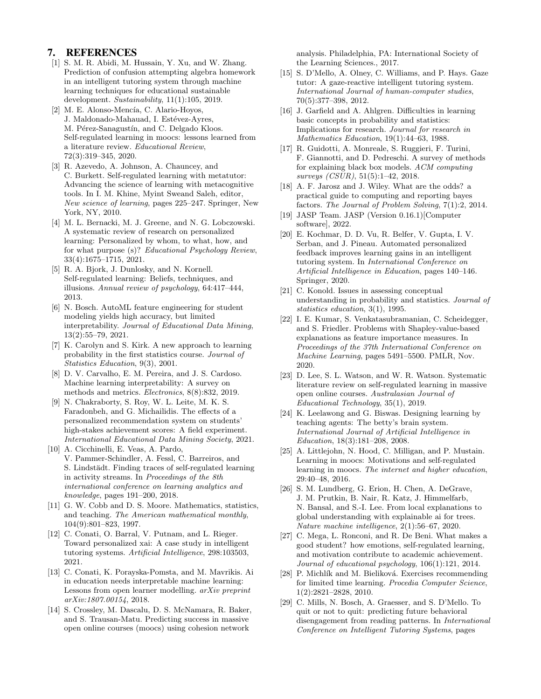#### 7. REFERENCES

- [1] S. M. R. Abidi, M. Hussain, Y. Xu, and W. Zhang. Prediction of confusion attempting algebra homework in an intelligent tutoring system through machine learning techniques for educational sustainable development. Sustainability,  $11(1):105$ , 2019.
- [2] M. E. Alonso-Mencía, C. Alario-Hoyos, J. Maldonado-Mahauad, I. Estévez-Ayres, M. Pérez-Sanagustín, and C. Delgado Kloos. Self-regulated learning in moocs: lessons learned from a literature review. Educational Review, 72(3):319–345, 2020.
- [3] R. Azevedo, A. Johnson, A. Chauncey, and C. Burkett. Self-regulated learning with metatutor: Advancing the science of learning with metacognitive tools. In I. M. Khine, Myint Sweand Saleh, editor, New science of learning, pages 225–247. Springer, New York, NY, 2010.
- [4] M. L. Bernacki, M. J. Greene, and N. G. Lobczowski. A systematic review of research on personalized learning: Personalized by whom, to what, how, and for what purpose (s)? Educational Psychology Review, 33(4):1675–1715, 2021.
- [5] R. A. Bjork, J. Dunlosky, and N. Kornell. Self-regulated learning: Beliefs, techniques, and illusions. Annual review of psychology, 64:417–444, 2013.
- [6] N. Bosch. AutoML feature engineering for student modeling yields high accuracy, but limited interpretability. Journal of Educational Data Mining, 13(2):55–79, 2021.
- [7] K. Carolyn and S. Kirk. A new approach to learning probability in the first statistics course. Journal of Statistics Education, 9(3), 2001.
- [8] D. V. Carvalho, E. M. Pereira, and J. S. Cardoso. Machine learning interpretability: A survey on methods and metrics. Electronics, 8(8):832, 2019.
- [9] N. Chakraborty, S. Roy, W. L. Leite, M. K. S. Faradonbeh, and G. Michailidis. The effects of a personalized recommendation system on students' high-stakes achievement scores: A field experiment. International Educational Data Mining Society, 2021.
- [10] A. Cicchinelli, E. Veas, A. Pardo, V. Pammer-Schindler, A. Fessl, C. Barreiros, and S. Lindstädt. Finding traces of self-regulated learning in activity streams. In Proceedings of the 8th international conference on learning analytics and knowledge, pages 191–200, 2018.
- [11] G. W. Cobb and D. S. Moore. Mathematics, statistics, and teaching. The American mathematical monthly, 104(9):801–823, 1997.
- [12] C. Conati, O. Barral, V. Putnam, and L. Rieger. Toward personalized xai: A case study in intelligent tutoring systems. Artificial Intelligence, 298:103503, 2021.
- [13] C. Conati, K. Porayska-Pomsta, and M. Mavrikis. Ai in education needs interpretable machine learning: Lessons from open learner modelling. arXiv preprint arXiv:1807.00154, 2018.
- [14] S. Crossley, M. Dascalu, D. S. McNamara, R. Baker, and S. Trausan-Matu. Predicting success in massive open online courses (moocs) using cohesion network

analysis. Philadelphia, PA: International Society of the Learning Sciences., 2017.

- [15] S. D'Mello, A. Olney, C. Williams, and P. Hays. Gaze tutor: A gaze-reactive intelligent tutoring system. International Journal of human-computer studies, 70(5):377–398, 2012.
- [16] J. Garfield and A. Ahlgren. Difficulties in learning basic concepts in probability and statistics: Implications for research. Journal for research in Mathematics Education, 19(1):44–63, 1988.
- [17] R. Guidotti, A. Monreale, S. Ruggieri, F. Turini, F. Giannotti, and D. Pedreschi. A survey of methods for explaining black box models. ACM computing surveys (CSUR), 51(5):1–42, 2018.
- [18] A. F. Jarosz and J. Wiley. What are the odds? a practical guide to computing and reporting bayes factors. The Journal of Problem Solving, 7(1):2, 2014.
- [19] JASP Team. JASP (Version 0.16.1)[Computer software], 2022.
- [20] E. Kochmar, D. D. Vu, R. Belfer, V. Gupta, I. V. Serban, and J. Pineau. Automated personalized feedback improves learning gains in an intelligent tutoring system. In International Conference on Artificial Intelligence in Education, pages 140–146. Springer, 2020.
- [21] C. Konold. Issues in assessing conceptual understanding in probability and statistics. Journal of statistics education, 3(1), 1995.
- [22] I. E. Kumar, S. Venkatasubramanian, C. Scheidegger, and S. Friedler. Problems with Shapley-value-based explanations as feature importance measures. In Proceedings of the 37th International Conference on Machine Learning, pages 5491–5500. PMLR, Nov. 2020.
- [23] D. Lee, S. L. Watson, and W. R. Watson. Systematic literature review on self-regulated learning in massive open online courses. Australasian Journal of Educational Technology, 35(1), 2019.
- [24] K. Leelawong and G. Biswas. Designing learning by teaching agents: The betty's brain system. International Journal of Artificial Intelligence in Education, 18(3):181–208, 2008.
- [25] A. Littlejohn, N. Hood, C. Milligan, and P. Mustain. Learning in moocs: Motivations and self-regulated learning in moocs. The internet and higher education, 29:40–48, 2016.
- [26] S. M. Lundberg, G. Erion, H. Chen, A. DeGrave, J. M. Prutkin, B. Nair, R. Katz, J. Himmelfarb, N. Bansal, and S.-I. Lee. From local explanations to global understanding with explainable ai for trees. Nature machine intelligence, 2(1):56–67, 2020.
- [27] C. Mega, L. Ronconi, and R. De Beni. What makes a good student? how emotions, self-regulated learning, and motivation contribute to academic achievement. Journal of educational psychology, 106(1):121, 2014.
- [28] P. Michlík and M. Bieliková. Exercises recommending for limited time learning. Procedia Computer Science, 1(2):2821–2828, 2010.
- [29] C. Mills, N. Bosch, A. Graesser, and S. D'Mello. To quit or not to quit: predicting future behavioral disengagement from reading patterns. In International Conference on Intelligent Tutoring Systems, pages